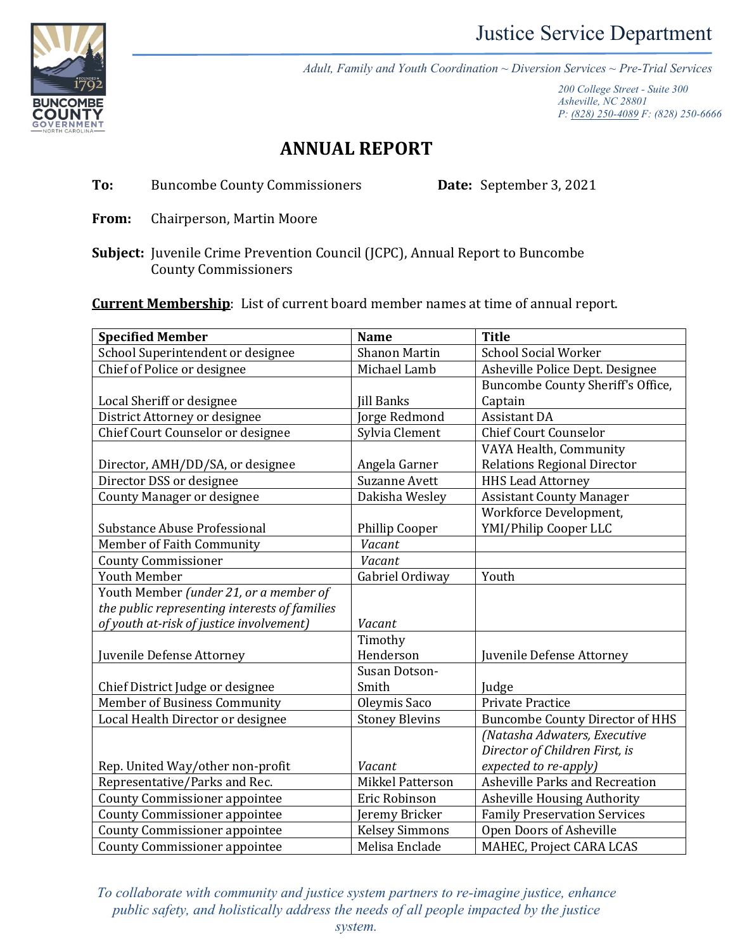

*Adult, Family and Youth Coordination ~ Diversion Services ~ Pre-Trial Services*

*200 College Street - Suite 300 Asheville, NC 28801 P: [\(828\) 250-4089](tel:+18282504089) F: (828) 250-6666*

## **ANNUAL REPORT**

**To:** Buncombe County Commissioners **Date:** September 3, 2021

- **From:** Chairperson, Martin Moore
- **Subject:** Juvenile Crime Prevention Council (JCPC), Annual Report to Buncombe County Commissioners

**Current Membership**: List of current board member names at time of annual report.

| <b>Specified Member</b>                       | <b>Name</b>             | <b>Title</b>                           |  |
|-----------------------------------------------|-------------------------|----------------------------------------|--|
| School Superintendent or designee             | <b>Shanon Martin</b>    | <b>School Social Worker</b>            |  |
| Chief of Police or designee                   | Michael Lamb            | Asheville Police Dept. Designee        |  |
|                                               |                         | Buncombe County Sheriff's Office,      |  |
| Local Sheriff or designee                     | <b>Jill Banks</b>       | Captain                                |  |
| District Attorney or designee                 | Jorge Redmond           | <b>Assistant DA</b>                    |  |
| Chief Court Counselor or designee             | Sylvia Clement          | <b>Chief Court Counselor</b>           |  |
|                                               |                         | VAYA Health, Community                 |  |
| Director, AMH/DD/SA, or designee              | Angela Garner           | <b>Relations Regional Director</b>     |  |
| Director DSS or designee                      | <b>Suzanne Avett</b>    | <b>HHS Lead Attorney</b>               |  |
| <b>County Manager or designee</b>             | Dakisha Wesley          | <b>Assistant County Manager</b>        |  |
|                                               |                         | Workforce Development,                 |  |
| Substance Abuse Professional                  | Phillip Cooper          | YMI/Philip Cooper LLC                  |  |
| Member of Faith Community                     | Vacant                  |                                        |  |
| <b>County Commissioner</b>                    | Vacant                  |                                        |  |
| <b>Youth Member</b>                           | Gabriel Ordiway         | Youth                                  |  |
| Youth Member (under 21, or a member of        |                         |                                        |  |
| the public representing interests of families |                         |                                        |  |
| of youth at-risk of justice involvement)      | Vacant                  |                                        |  |
|                                               | Timothy                 |                                        |  |
| Juvenile Defense Attorney                     | Henderson               | Juvenile Defense Attorney              |  |
|                                               | Susan Dotson-           |                                        |  |
| Chief District Judge or designee              | Smith                   | Judge                                  |  |
| Member of Business Community                  | Oleymis Saco            | <b>Private Practice</b>                |  |
| Local Health Director or designee             | <b>Stoney Blevins</b>   | <b>Buncombe County Director of HHS</b> |  |
|                                               |                         | (Natasha Adwaters, Executive           |  |
|                                               |                         | Director of Children First, is         |  |
| Rep. United Way/other non-profit              | Vacant                  | expected to re-apply)                  |  |
| Representative/Parks and Rec.                 | <b>Mikkel Patterson</b> | Asheville Parks and Recreation         |  |
| <b>County Commissioner appointee</b>          | Eric Robinson           | <b>Asheville Housing Authority</b>     |  |
| <b>County Commissioner appointee</b>          | Jeremy Bricker          | <b>Family Preservation Services</b>    |  |
| <b>County Commissioner appointee</b>          | <b>Kelsey Simmons</b>   | Open Doors of Asheville                |  |
| <b>County Commissioner appointee</b>          | Melisa Enclade          | MAHEC, Project CARA LCAS               |  |

*To collaborate with community and justice system partners to re-imagine justice, enhance public safety, and holistically address the needs of all people impacted by the justice*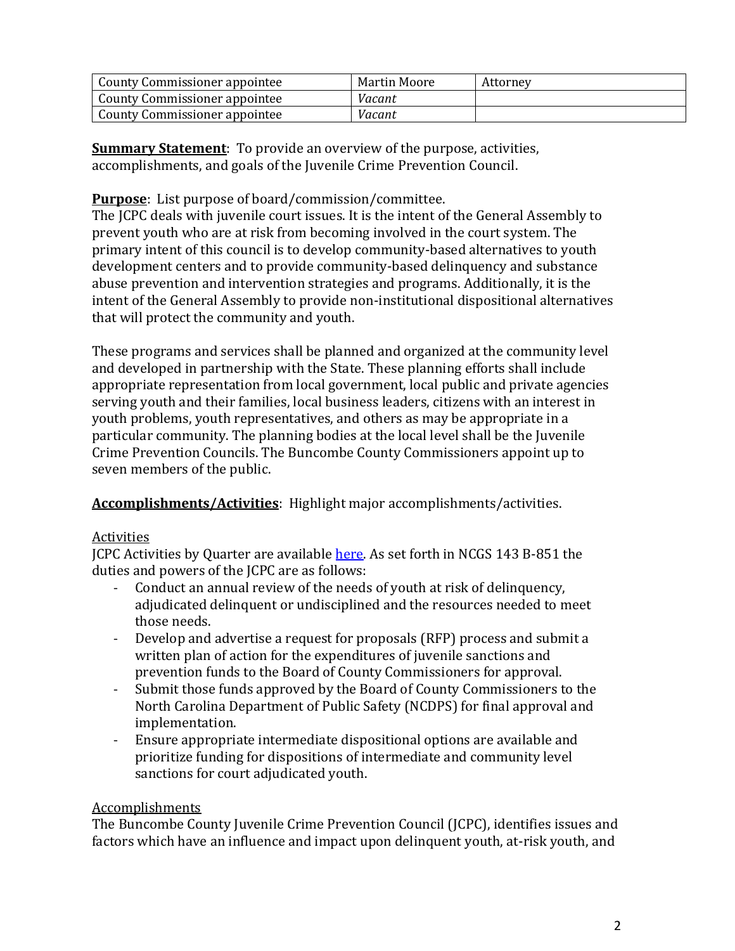| County Commissioner appointee | Martin Moore | Attorney |
|-------------------------------|--------------|----------|
| County Commissioner appointee | Vacant       |          |
| County Commissioner appointee | Vacant       |          |

**Summary Statement**: To provide an overview of the purpose, activities, accomplishments, and goals of the Juvenile Crime Prevention Council.

**Purpose**: List purpose of board/commission/committee.

The JCPC deals with juvenile court issues. It is the intent of the General Assembly to prevent youth who are at risk from becoming involved in the court system. The primary intent of this council is to develop community-based alternatives to youth development centers and to provide community-based delinquency and substance abuse prevention and intervention strategies and programs. Additionally, it is the intent of the General Assembly to provide non-institutional dispositional alternatives that will protect the community and youth.

These programs and services shall be planned and organized at the community level and developed in partnership with the State. These planning efforts shall include appropriate representation from local government, local public and private agencies serving youth and their families, local business leaders, citizens with an interest in youth problems, youth representatives, and others as may be appropriate in a particular community. The planning bodies at the local level shall be the Juvenile Crime Prevention Councils. The Buncombe County Commissioners appoint up to seven members of the public.

**Accomplishments/Activities**: Highlight major accomplishments/activities.

## Activities

JCPC Activities by Quarter are availabl[e here.](https://www.buncombecounty.org/common/community-investment/boards/jcpc/activities-by-quarter-calendar.pdf) As set forth in NCGS 143 B-851 the duties and powers of the JCPC are as follows:

- Conduct an annual review of the needs of youth at risk of delinquency, adjudicated delinquent or undisciplined and the resources needed to meet those needs.
- Develop and advertise a request for proposals (RFP) process and submit a written plan of action for the expenditures of juvenile sanctions and prevention funds to the Board of County Commissioners for approval.
- Submit those funds approved by the Board of County Commissioners to the North Carolina Department of Public Safety (NCDPS) for final approval and implementation.
- Ensure appropriate intermediate dispositional options are available and prioritize funding for dispositions of intermediate and community level sanctions for court adjudicated youth.

## Accomplishments

The Buncombe County Juvenile Crime Prevention Council (JCPC), identifies issues and factors which have an influence and impact upon delinquent youth, at-risk youth, and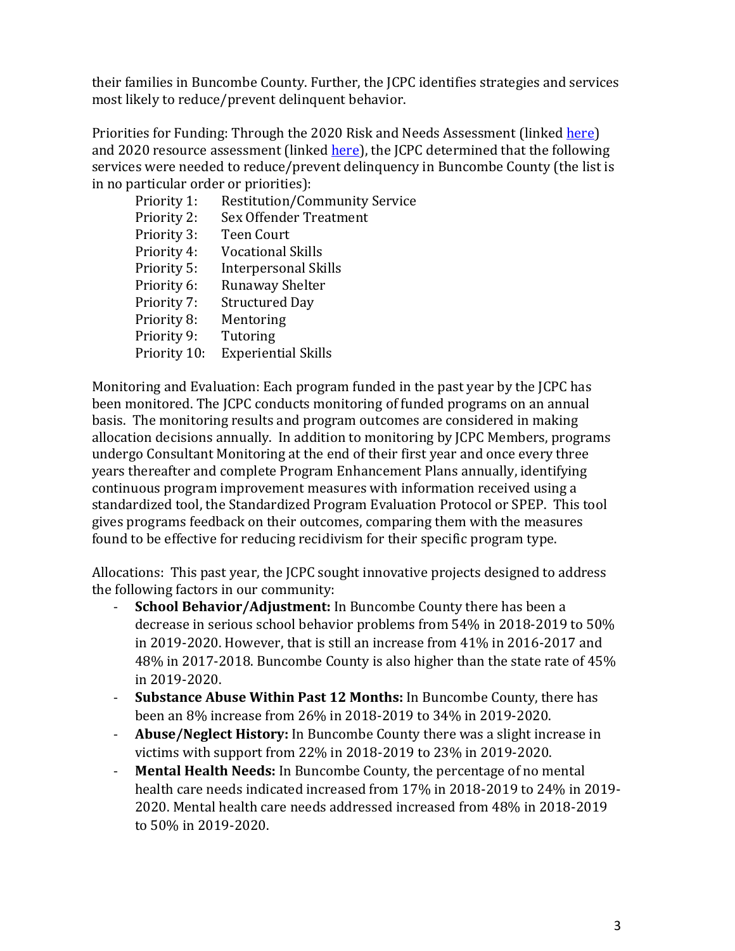their families in Buncombe County. Further, the JCPC identifies strategies and services most likely to reduce/prevent delinquent behavior.

Priorities for Funding: Through the 2020 Risk and Needs Assessment (linked [here\)](https://www.buncombecounty.org/common/community-investment/boards/jcpc/risk-needs-summary.pdf) and 2020 resource assessment (linked [here\)](https://www.buncombecounty.org/common/community-investment/boards/jcpc/continuum-of-services.pdf), the JCPC determined that the following services were needed to reduce/prevent delinquency in Buncombe County (the list is in no particular order or priorities):

Priority 1: Restitution/Community Service Priority 2: Sex Offender Treatment Priority 3: Teen Court Priority 4: Vocational Skills Priority 5: Interpersonal Skills Priority 6: Runaway Shelter Priority 7: Structured Day Priority 8: Mentoring Priority 9: Tutoring Priority 10: Experiential Skills

Monitoring and Evaluation: Each program funded in the past year by the JCPC has been monitored. The JCPC conducts monitoring of funded programs on an annual basis. The monitoring results and program outcomes are considered in making allocation decisions annually. In addition to monitoring by JCPC Members, programs undergo Consultant Monitoring at the end of their first year and once every three years thereafter and complete Program Enhancement Plans annually, identifying continuous program improvement measures with information received using a standardized tool, the Standardized Program Evaluation Protocol or SPEP. This tool gives programs feedback on their outcomes, comparing them with the measures found to be effective for reducing recidivism for their specific program type.

Allocations: This past year, the JCPC sought innovative projects designed to address the following factors in our community:

- School Behavior/Adjustment: In Buncombe County there has been a decrease in serious school behavior problems from 54% in 2018-2019 to 50% in 2019-2020. However, that is still an increase from 41% in 2016-2017 and 48% in 2017-2018. Buncombe County is also higher than the state rate of 45% in 2019-2020.
- **Substance Abuse Within Past 12 Months:** In Buncombe County, there has been an 8% increase from 26% in 2018-2019 to 34% in 2019-2020.
- **Abuse/Neglect History:** In Buncombe County there was a slight increase in victims with support from 22% in 2018-2019 to 23% in 2019-2020.
- **Mental Health Needs:** In Buncombe County, the percentage of no mental health care needs indicated increased from 17% in 2018-2019 to 24% in 2019- 2020. Mental health care needs addressed increased from 48% in 2018-2019 to 50% in 2019-2020.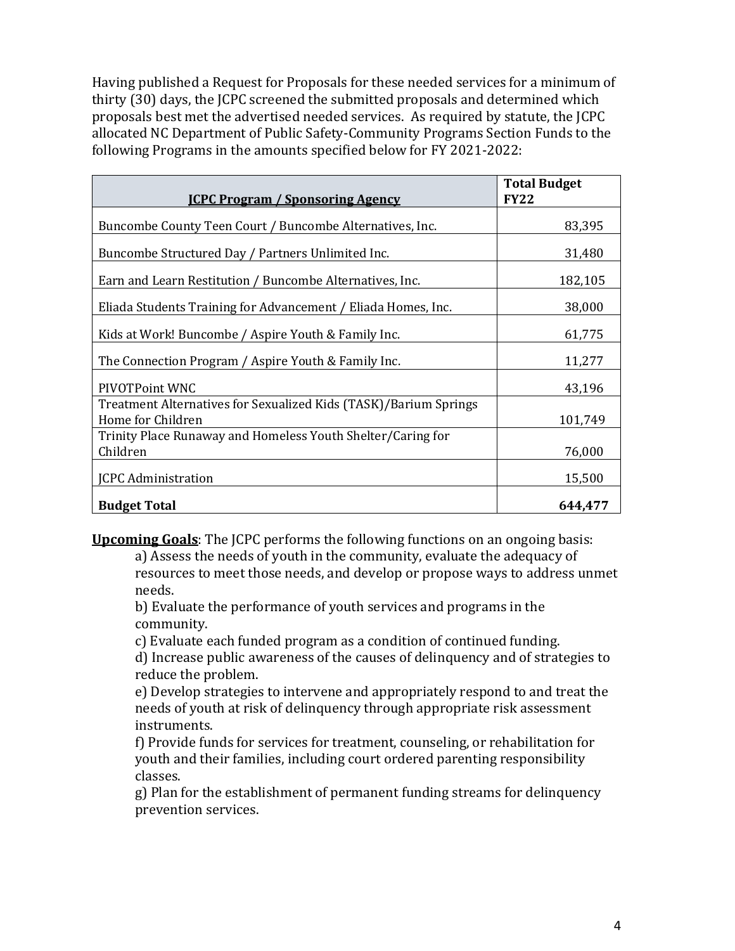Having published a Request for Proposals for these needed services for a minimum of thirty (30) days, the JCPC screened the submitted proposals and determined which proposals best met the advertised needed services. As required by statute, the JCPC allocated NC Department of Public Safety-Community Programs Section Funds to the following Programs in the amounts specified below for FY 2021-2022:

| <b>ICPC Program / Sponsoring Agency</b>                                               | <b>Total Budget</b><br><b>FY22</b> |
|---------------------------------------------------------------------------------------|------------------------------------|
| Buncombe County Teen Court / Buncombe Alternatives, Inc.                              | 83,395                             |
| Buncombe Structured Day / Partners Unlimited Inc.                                     | 31,480                             |
| Earn and Learn Restitution / Buncombe Alternatives, Inc.                              | 182,105                            |
| Eliada Students Training for Advancement / Eliada Homes, Inc.                         | 38,000                             |
| Kids at Work! Buncombe / Aspire Youth & Family Inc.                                   | 61,775                             |
| The Connection Program / Aspire Youth & Family Inc.                                   | 11,277                             |
| PIVOTPoint WNC                                                                        | 43,196                             |
| Treatment Alternatives for Sexualized Kids (TASK)/Barium Springs<br>Home for Children | 101,749                            |
| Trinity Place Runaway and Homeless Youth Shelter/Caring for<br>Children               | 76,000                             |
| <b>JCPC</b> Administration                                                            | 15,500                             |
| <b>Budget Total</b>                                                                   | 644,477                            |

**Upcoming Goals**: The JCPC performs the following functions on an ongoing basis:

a) Assess the needs of youth in the community, evaluate the adequacy of resources to meet those needs, and develop or propose ways to address unmet needs.

b) Evaluate the performance of youth services and programs in the community.

c) Evaluate each funded program as a condition of continued funding.

d) Increase public awareness of the causes of delinquency and of strategies to reduce the problem.

e) Develop strategies to intervene and appropriately respond to and treat the needs of youth at risk of delinquency through appropriate risk assessment instruments.

f) Provide funds for services for treatment, counseling, or rehabilitation for youth and their families, including court ordered parenting responsibility classes.

g) Plan for the establishment of permanent funding streams for delinquency prevention services.